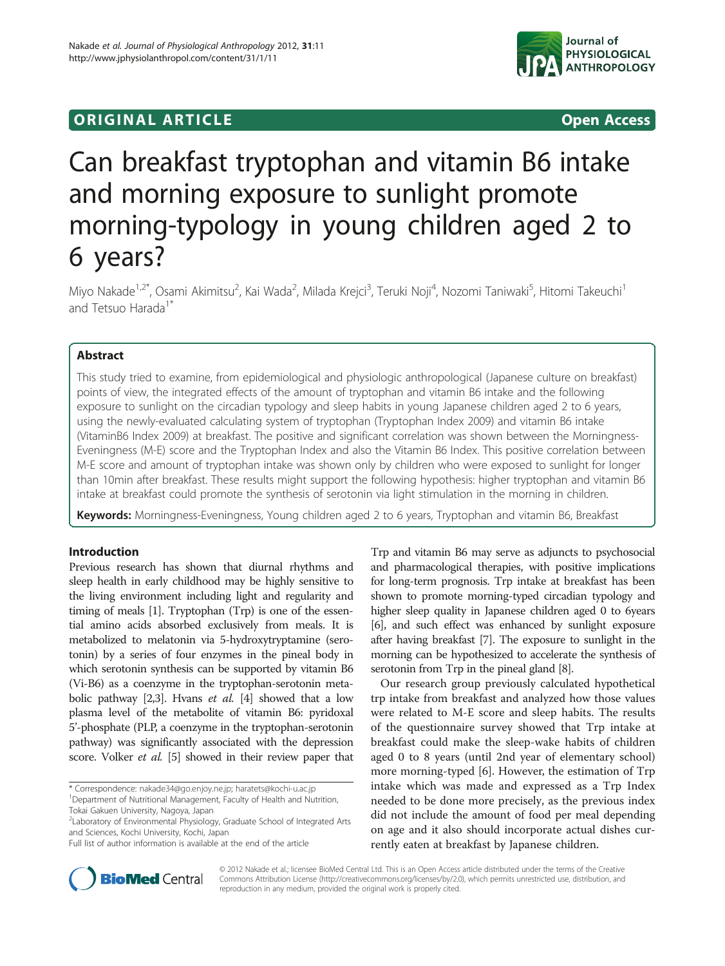# **ORIGINAL ARTICLE CONSERVANCE CONSERVANCE CONSERVANCE CONSERVANCE CONSERVANCE CONSERVANCE CONSERVANCE CONSERVANCE**



# Can breakfast tryptophan and vitamin B6 intake and morning exposure to sunlight promote morning-typology in young children aged 2 to 6 years?

Miyo Nakade<sup>1,2\*</sup>, Osami Akimitsu<sup>2</sup>, Kai Wada<sup>2</sup>, Milada Krejci<sup>3</sup>, Teruki Noji<sup>4</sup>, Nozomi Taniwaki<sup>5</sup>, Hitomi Takeuchi<sup>1</sup> and Tetsuo Harada<sup>1\*</sup>

# Abstract

This study tried to examine, from epidemiological and physiologic anthropological (Japanese culture on breakfast) points of view, the integrated effects of the amount of tryptophan and vitamin B6 intake and the following exposure to sunlight on the circadian typology and sleep habits in young Japanese children aged 2 to 6 years, using the newly-evaluated calculating system of tryptophan (Tryptophan Index 2009) and vitamin B6 intake (VitaminB6 Index 2009) at breakfast. The positive and significant correlation was shown between the Morningness-Eveningness (M-E) score and the Tryptophan Index and also the Vitamin B6 Index. This positive correlation between M-E score and amount of tryptophan intake was shown only by children who were exposed to sunlight for longer than 10min after breakfast. These results might support the following hypothesis: higher tryptophan and vitamin B6 intake at breakfast could promote the synthesis of serotonin via light stimulation in the morning in children.

Keywords: Morningness-Eveningness, Young children aged 2 to 6 years, Tryptophan and vitamin B6, Breakfast

# Introduction

Previous research has shown that diurnal rhythms and sleep health in early childhood may be highly sensitive to the living environment including light and regularity and timing of meals [\[1\]](#page-9-0). Tryptophan (Trp) is one of the essential amino acids absorbed exclusively from meals. It is metabolized to melatonin via 5-hydroxytryptamine (serotonin) by a series of four enzymes in the pineal body in which serotonin synthesis can be supported by vitamin B6 (Vi-B6) as a coenzyme in the tryptophan-serotonin metabolic pathway [[2,3\]](#page-9-0). Hvans et al. [\[4](#page-9-0)] showed that a low plasma level of the metabolite of vitamin B6: pyridoxal 5'-phosphate (PLP, a coenzyme in the tryptophan-serotonin pathway) was significantly associated with the depression score. Volker *et al.* [[5\]](#page-9-0) showed in their review paper that

\* Correspondence: [nakade34@go.enjoy.ne.jp](mailto:nakade34@go.enjoy.ne.jp); [haratets@kochi-u.ac.jp](mailto:haratets@kochi-u.ac.jp) <sup>1</sup> <sup>1</sup>Department of Nutritional Management, Faculty of Health and Nutrition,

Tokai Gakuen University, Nagoya, Japan

<sup>2</sup>Laboratory of Environmental Physiology, Graduate School of Integrated Arts and Sciences, Kochi University, Kochi, Japan

Trp and vitamin B6 may serve as adjuncts to psychosocial and pharmacological therapies, with positive implications for long-term prognosis. Trp intake at breakfast has been shown to promote morning-typed circadian typology and higher sleep quality in Japanese children aged 0 to 6years [[6](#page-9-0)], and such effect was enhanced by sunlight exposure after having breakfast [\[7\]](#page-9-0). The exposure to sunlight in the morning can be hypothesized to accelerate the synthesis of serotonin from Trp in the pineal gland [[8](#page-9-0)].

Our research group previously calculated hypothetical trp intake from breakfast and analyzed how those values were related to M-E score and sleep habits. The results of the questionnaire survey showed that Trp intake at breakfast could make the sleep-wake habits of children aged 0 to 8 years (until 2nd year of elementary school) more morning-typed [\[6](#page-9-0)]. However, the estimation of Trp intake which was made and expressed as a Trp Index needed to be done more precisely, as the previous index did not include the amount of food per meal depending on age and it also should incorporate actual dishes currently eaten at breakfast by Japanese children.



© 2012 Nakade et al.; licensee BioMed Central Ltd. This is an Open Access article distributed under the terms of the Creative Commons Attribution License (http://creativecommons.org/licenses/by/2.0), which permits unrestricted use, distribution, and reproduction in any medium, provided the original work is properly cited.

Full list of author information is available at the end of the article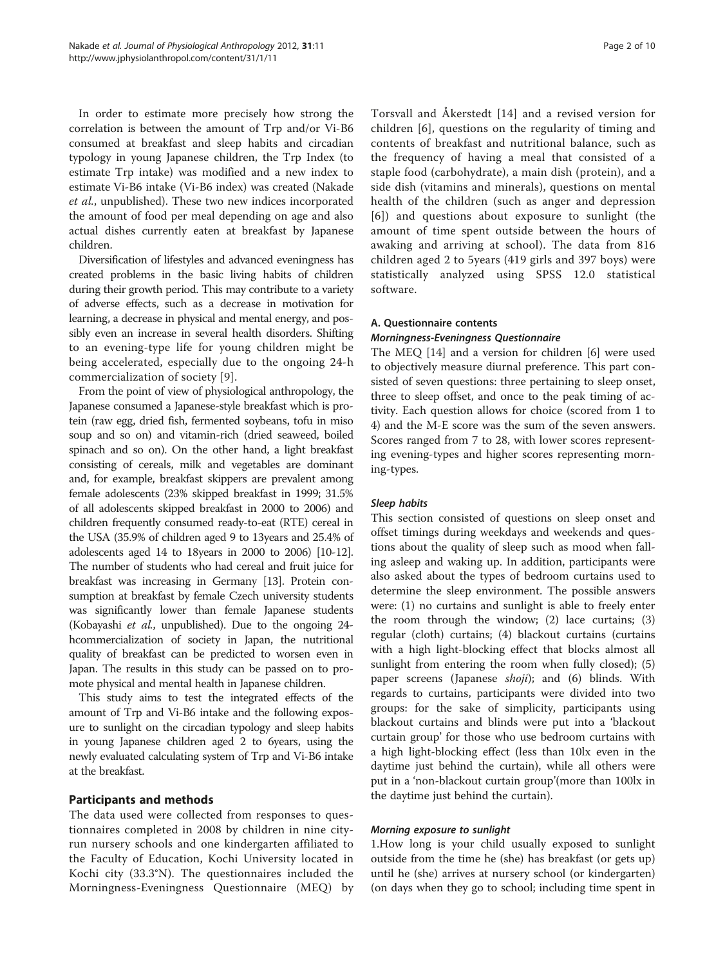In order to estimate more precisely how strong the correlation is between the amount of Trp and/or Vi-B6 consumed at breakfast and sleep habits and circadian typology in young Japanese children, the Trp Index (to estimate Trp intake) was modified and a new index to estimate Vi-B6 intake (Vi-B6 index) was created (Nakade et al., unpublished). These two new indices incorporated the amount of food per meal depending on age and also actual dishes currently eaten at breakfast by Japanese children.

Diversification of lifestyles and advanced eveningness has created problems in the basic living habits of children during their growth period. This may contribute to a variety of adverse effects, such as a decrease in motivation for learning, a decrease in physical and mental energy, and possibly even an increase in several health disorders. Shifting to an evening-type life for young children might be being accelerated, especially due to the ongoing 24-h commercialization of society [[9](#page-9-0)].

From the point of view of physiological anthropology, the Japanese consumed a Japanese-style breakfast which is protein (raw egg, dried fish, fermented soybeans, tofu in miso soup and so on) and vitamin-rich (dried seaweed, boiled spinach and so on). On the other hand, a light breakfast consisting of cereals, milk and vegetables are dominant and, for example, breakfast skippers are prevalent among female adolescents (23% skipped breakfast in 1999; 31.5% of all adolescents skipped breakfast in 2000 to 2006) and children frequently consumed ready-to-eat (RTE) cereal in the USA (35.9% of children aged 9 to 13years and 25.4% of adolescents aged 14 to 18years in 2000 to 2006) [\[10-12](#page-9-0)]. The number of students who had cereal and fruit juice for breakfast was increasing in Germany [\[13\]](#page-9-0). Protein consumption at breakfast by female Czech university students was significantly lower than female Japanese students (Kobayashi et al., unpublished). Due to the ongoing 24 hcommercialization of society in Japan, the nutritional quality of breakfast can be predicted to worsen even in Japan. The results in this study can be passed on to promote physical and mental health in Japanese children.

This study aims to test the integrated effects of the amount of Trp and Vi-B6 intake and the following exposure to sunlight on the circadian typology and sleep habits in young Japanese children aged 2 to 6years, using the newly evaluated calculating system of Trp and Vi-B6 intake at the breakfast.

# Participants and methods

The data used were collected from responses to questionnaires completed in 2008 by children in nine cityrun nursery schools and one kindergarten affiliated to the Faculty of Education, Kochi University located in Kochi city (33.3°N). The questionnaires included the Morningness-Eveningness Questionnaire (MEQ) by

Torsvall and Åkerstedt [[14\]](#page-9-0) and a revised version for children [[6\]](#page-9-0), questions on the regularity of timing and contents of breakfast and nutritional balance, such as the frequency of having a meal that consisted of a staple food (carbohydrate), a main dish (protein), and a side dish (vitamins and minerals), questions on mental health of the children (such as anger and depression [[6](#page-9-0)]) and questions about exposure to sunlight (the amount of time spent outside between the hours of awaking and arriving at school). The data from 816 children aged 2 to 5years (419 girls and 397 boys) were statistically analyzed using SPSS 12.0 statistical software.

# A. Questionnaire contents

#### Morningness-Eveningness Questionnaire

The MEQ [[14](#page-9-0)] and a version for children [\[6](#page-9-0)] were used to objectively measure diurnal preference. This part consisted of seven questions: three pertaining to sleep onset, three to sleep offset, and once to the peak timing of activity. Each question allows for choice (scored from 1 to 4) and the M-E score was the sum of the seven answers. Scores ranged from 7 to 28, with lower scores representing evening-types and higher scores representing morning-types.

#### Sleep habits

This section consisted of questions on sleep onset and offset timings during weekdays and weekends and questions about the quality of sleep such as mood when falling asleep and waking up. In addition, participants were also asked about the types of bedroom curtains used to determine the sleep environment. The possible answers were: (1) no curtains and sunlight is able to freely enter the room through the window; (2) lace curtains; (3) regular (cloth) curtains; (4) blackout curtains (curtains with a high light-blocking effect that blocks almost all sunlight from entering the room when fully closed); (5) paper screens (Japanese *shoji*); and (6) blinds. With regards to curtains, participants were divided into two groups: for the sake of simplicity, participants using blackout curtains and blinds were put into a 'blackout curtain group' for those who use bedroom curtains with a high light-blocking effect (less than 10lx even in the daytime just behind the curtain), while all others were put in a 'non-blackout curtain group'(more than 100lx in the daytime just behind the curtain).

#### Morning exposure to sunlight

1.How long is your child usually exposed to sunlight outside from the time he (she) has breakfast (or gets up) until he (she) arrives at nursery school (or kindergarten) (on days when they go to school; including time spent in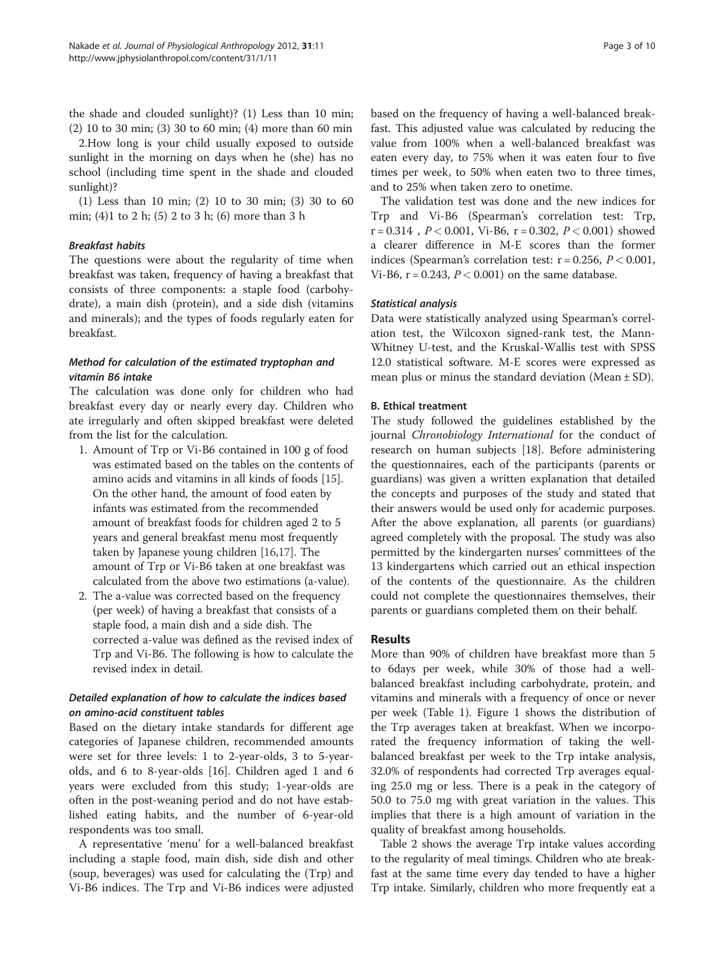the shade and clouded sunlight)? (1) Less than 10 min; (2) 10 to 30 min; (3) 30 to 60 min; (4) more than 60 min

2.How long is your child usually exposed to outside sunlight in the morning on days when he (she) has no school (including time spent in the shade and clouded sunlight)?

(1) Less than 10 min; (2) 10 to 30 min; (3) 30 to 60 min; (4)1 to 2 h; (5) 2 to 3 h; (6) more than 3 h

### Breakfast habits

The questions were about the regularity of time when breakfast was taken, frequency of having a breakfast that consists of three components: a staple food (carbohydrate), a main dish (protein), and a side dish (vitamins and minerals); and the types of foods regularly eaten for breakfast.

# Method for calculation of the estimated tryptophan and vitamin B6 intake

The calculation was done only for children who had breakfast every day or nearly every day. Children who ate irregularly and often skipped breakfast were deleted from the list for the calculation.

- 1. Amount of Trp or Vi-B6 contained in 100 g of food was estimated based on the tables on the contents of amino acids and vitamins in all kinds of foods [\[15\]](#page-9-0). On the other hand, the amount of food eaten by infants was estimated from the recommended amount of breakfast foods for children aged 2 to 5 years and general breakfast menu most frequently taken by Japanese young children [\[16,17](#page-9-0)]. The amount of Trp or Vi-B6 taken at one breakfast was calculated from the above two estimations (a-value).
- 2. The a-value was corrected based on the frequency (per week) of having a breakfast that consists of a staple food, a main dish and a side dish. The corrected a-value was defined as the revised index of Trp and Vi-B6. The following is how to calculate the revised index in detail.

# Detailed explanation of how to calculate the indices based on amino-acid constituent tables

Based on the dietary intake standards for different age categories of Japanese children, recommended amounts were set for three levels: 1 to 2-year-olds, 3 to 5-yearolds, and 6 to 8-year-olds [\[16](#page-9-0)]. Children aged 1 and 6 years were excluded from this study; 1-year-olds are often in the post-weaning period and do not have established eating habits, and the number of 6-year-old respondents was too small.

A representative 'menu' for a well-balanced breakfast including a staple food, main dish, side dish and other (soup, beverages) was used for calculating the (Trp) and Vi-B6 indices. The Trp and Vi-B6 indices were adjusted

based on the frequency of having a well-balanced breakfast. This adjusted value was calculated by reducing the value from 100% when a well-balanced breakfast was eaten every day, to 75% when it was eaten four to five times per week, to 50% when eaten two to three times, and to 25% when taken zero to onetime.

The validation test was done and the new indices for Trp and Vi-B6 (Spearman's correlation test: Trp,  $r = 0.314$ ,  $P < 0.001$ , Vi-B6,  $r = 0.302$ ,  $P < 0.001$ ) showed a clearer difference in M-E scores than the former indices (Spearman's correlation test:  $r = 0.256$ ,  $P < 0.001$ , Vi-B6,  $r = 0.243$ ,  $P < 0.001$ ) on the same database.

#### Statistical analysis

Data were statistically analyzed using Spearman's correlation test, the Wilcoxon signed-rank test, the Mann-Whitney U-test, and the Kruskal-Wallis test with SPSS 12.0 statistical software. M-E scores were expressed as mean plus or minus the standard deviation (Mean  $\pm$  SD).

#### B. Ethical treatment

The study followed the guidelines established by the journal Chronobiology International for the conduct of research on human subjects [[18\]](#page-9-0). Before administering the questionnaires, each of the participants (parents or guardians) was given a written explanation that detailed the concepts and purposes of the study and stated that their answers would be used only for academic purposes. After the above explanation, all parents (or guardians) agreed completely with the proposal. The study was also permitted by the kindergarten nurses' committees of the 13 kindergartens which carried out an ethical inspection of the contents of the questionnaire. As the children could not complete the questionnaires themselves, their parents or guardians completed them on their behalf.

#### Results

More than 90% of children have breakfast more than 5 to 6days per week, while 30% of those had a wellbalanced breakfast including carbohydrate, protein, and vitamins and minerals with a frequency of once or never per week (Table [1](#page-3-0)). Figure [1](#page-3-0) shows the distribution of the Trp averages taken at breakfast. When we incorporated the frequency information of taking the wellbalanced breakfast per week to the Trp intake analysis, 32.0% of respondents had corrected Trp averages equaling 25.0 mg or less. There is a peak in the category of 50.0 to 75.0 mg with great variation in the values. This implies that there is a high amount of variation in the quality of breakfast among households.

Table [2](#page-4-0) shows the average Trp intake values according to the regularity of meal timings. Children who ate breakfast at the same time every day tended to have a higher Trp intake. Similarly, children who more frequently eat a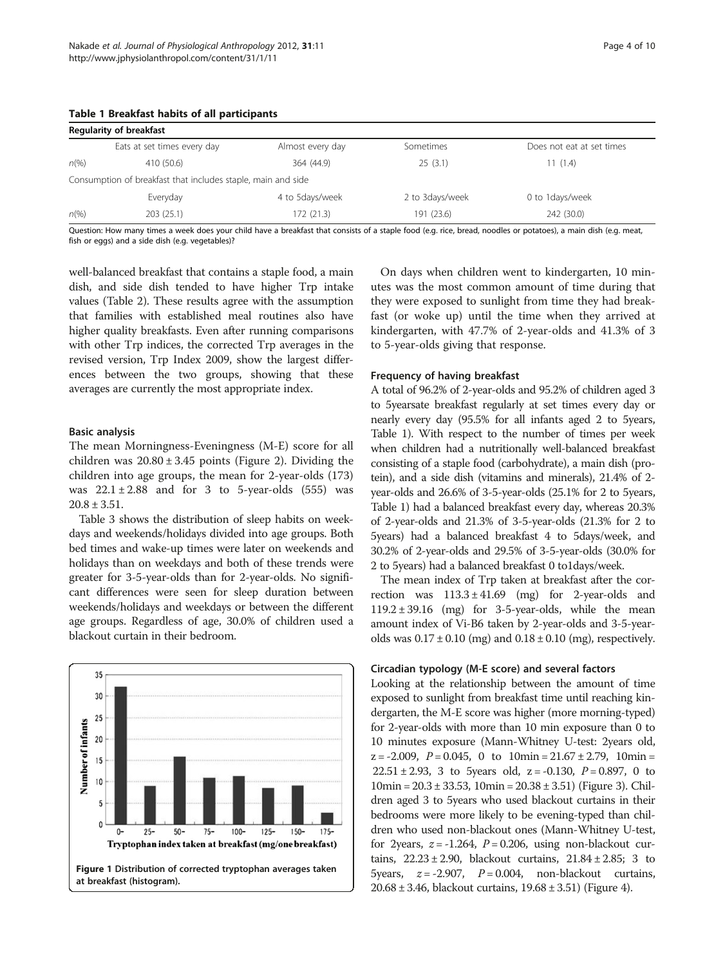### <span id="page-3-0"></span>Table 1 Breakfast habits of all participants

|                | <b>Regularity of breakfast</b>                               |                  |                 |                           |
|----------------|--------------------------------------------------------------|------------------|-----------------|---------------------------|
|                | Eats at set times every day                                  | Almost every day | Sometimes       | Does not eat at set times |
| $n\frac{9}{6}$ | 410 (50.6)                                                   | 364 (44.9)       | 25(3.1)         | 11(1.4)                   |
|                | Consumption of breakfast that includes staple, main and side |                  |                 |                           |
|                | Everyday                                                     | 4 to 5days/week  | 2 to 3days/week | 0 to 1 days/week          |
| $n\frac{9}{6}$ | 203(25.1)                                                    | 172(21.3)        | 191 (23.6)      | 242 (30.0)                |

Question: How many times a week does your child have a breakfast that consists of a staple food (e.g. bread, noodles or potatoes), a main dish (e.g. meat, fish or eggs) and a side dish (e.g. vegetables)?

well-balanced breakfast that contains a staple food, a main dish, and side dish tended to have higher Trp intake values (Table [2\)](#page-4-0). These results agree with the assumption that families with established meal routines also have higher quality breakfasts. Even after running comparisons with other Trp indices, the corrected Trp averages in the revised version, Trp Index 2009, show the largest differences between the two groups, showing that these averages are currently the most appropriate index.

#### Basic analysis

The mean Morningness-Eveningness (M-E) score for all children was  $20.80 \pm 3.45$  points (Figure [2](#page-4-0)). Dividing the children into age groups, the mean for 2-year-olds (173) was  $22.1 \pm 2.88$  and for 3 to 5-year-olds (555) was  $20.8 \pm 3.51$ .

Table [3](#page-5-0) shows the distribution of sleep habits on weekdays and weekends/holidays divided into age groups. Both bed times and wake-up times were later on weekends and holidays than on weekdays and both of these trends were greater for 3-5-year-olds than for 2-year-olds. No significant differences were seen for sleep duration between weekends/holidays and weekdays or between the different age groups. Regardless of age, 30.0% of children used a blackout curtain in their bedroom.

35 30 25 Number of infants 20 15  $10$ 5  $\pmb{0}$  $25 50 75 100 125 150 175 -$ Tryptophan index taken at breakfast (mg/one breakfast) Figure 1 Distribution of corrected tryptophan averages taken at breakfast (histogram).

On days when children went to kindergarten, 10 minutes was the most common amount of time during that they were exposed to sunlight from time they had breakfast (or woke up) until the time when they arrived at kindergarten, with 47.7% of 2-year-olds and 41.3% of 3 to 5-year-olds giving that response.

#### Frequency of having breakfast

A total of 96.2% of 2-year-olds and 95.2% of children aged 3 to 5yearsate breakfast regularly at set times every day or nearly every day (95.5% for all infants aged 2 to 5years, Table 1). With respect to the number of times per week when children had a nutritionally well-balanced breakfast consisting of a staple food (carbohydrate), a main dish (protein), and a side dish (vitamins and minerals), 21.4% of 2 year-olds and 26.6% of 3-5-year-olds (25.1% for 2 to 5years, Table 1) had a balanced breakfast every day, whereas 20.3% of 2-year-olds and 21.3% of 3-5-year-olds (21.3% for 2 to 5years) had a balanced breakfast 4 to 5days/week, and 30.2% of 2-year-olds and 29.5% of 3-5-year-olds (30.0% for 2 to 5years) had a balanced breakfast 0 to1days/week.

The mean index of Trp taken at breakfast after the correction was  $113.3 \pm 41.69$  (mg) for 2-year-olds and  $119.2 \pm 39.16$  (mg) for 3-5-year-olds, while the mean amount index of Vi-B6 taken by 2-year-olds and 3-5-yearolds was  $0.17 \pm 0.10$  (mg) and  $0.18 \pm 0.10$  (mg), respectively.

### Circadian typology (M-E score) and several factors

Looking at the relationship between the amount of time exposed to sunlight from breakfast time until reaching kindergarten, the M-E score was higher (more morning-typed) for 2-year-olds with more than 10 min exposure than 0 to 10 minutes exposure (Mann-Whitney U-test: 2years old,  $z = -2.009$ ,  $P = 0.045$ , 0 to  $10\text{min} = 21.67 \pm 2.79$ ,  $10\text{min} =$ 22.51  $\pm$  2.93, 3 to 5 years old, z = -0.130,  $P = 0.897$ , 0 to  $10min = 20.3 \pm 33.53$ ,  $10min = 20.38 \pm 3.51$ ) (Figure [3\)](#page-5-0). Children aged 3 to 5years who used blackout curtains in their bedrooms were more likely to be evening-typed than children who used non-blackout ones (Mann-Whitney U-test, for 2years,  $z = -1.264$ ,  $P = 0.206$ , using non-blackout curtains,  $22.23 \pm 2.90$ , blackout curtains,  $21.84 \pm 2.85$ ; 3 to 5 years,  $z = -2.907$ ,  $P = 0.004$ , non-blackout curtains, 20.68 ± 3.46, blackout curtains, 19.68 ± 3.51) (Figure [4\)](#page-6-0).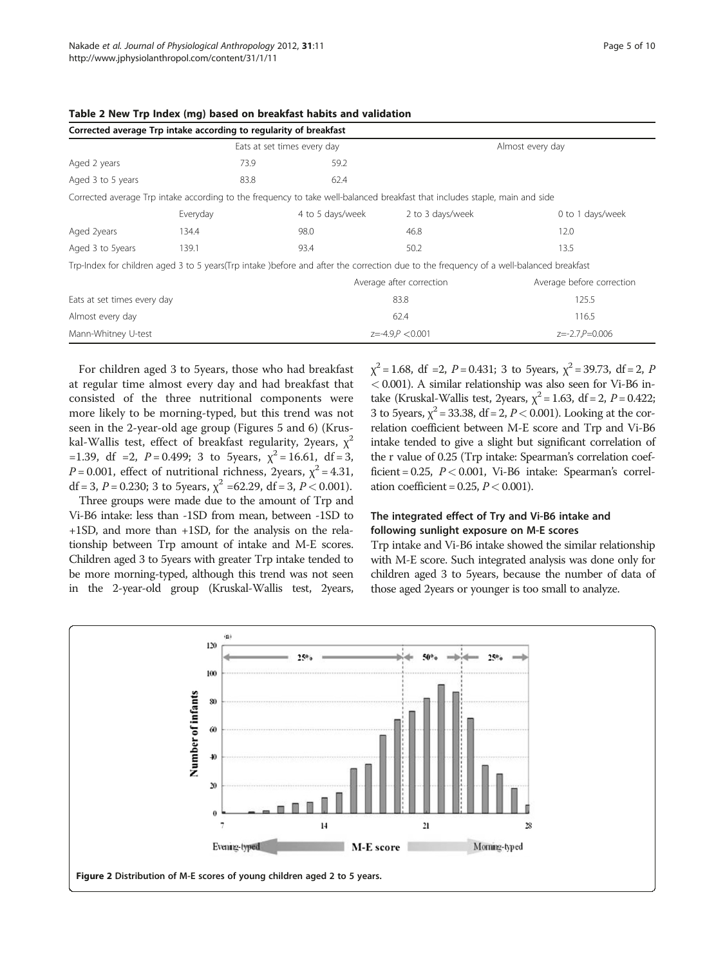|                             | Corrected average Trp intake according to regularity of breakfast                                                                      |                             |                          |                           |  |
|-----------------------------|----------------------------------------------------------------------------------------------------------------------------------------|-----------------------------|--------------------------|---------------------------|--|
|                             |                                                                                                                                        | Eats at set times every day | Almost every day         |                           |  |
| Aged 2 years                | 73.9                                                                                                                                   | 59.2                        |                          |                           |  |
| Aged 3 to 5 years           | 83.8                                                                                                                                   | 62.4                        |                          |                           |  |
|                             | Corrected average Trp intake according to the frequency to take well-balanced breakfast that includes staple, main and side            |                             |                          |                           |  |
|                             | Everyday                                                                                                                               | 4 to 5 days/week            | 2 to 3 days/week         | 0 to 1 days/week          |  |
| Aged 2years                 | 134.4                                                                                                                                  | 98.0                        | 46.8                     | 12.0                      |  |
| Aged 3 to 5years            | 139.1                                                                                                                                  | 93.4                        | 50.2                     | 13.5                      |  |
|                             | Trp-Index for children aged 3 to 5 years(Trp intake) before and after the correction due to the frequency of a well-balanced breakfast |                             |                          |                           |  |
|                             |                                                                                                                                        |                             | Average after correction | Average before correction |  |
| Eats at set times every day |                                                                                                                                        |                             | 83.8                     | 125.5                     |  |
| Almost every day            |                                                                                                                                        |                             | 62.4                     | 116.5                     |  |
| Mann-Whitney U-test         |                                                                                                                                        |                             | $z=-4.9, P < 0.001$      | $z=-2.7.P=0.006$          |  |

<span id="page-4-0"></span>

|  |  |  | Table 2 New Trp Index (mg) based on breakfast habits and validation |  |  |
|--|--|--|---------------------------------------------------------------------|--|--|
|--|--|--|---------------------------------------------------------------------|--|--|

For children aged 3 to 5years, those who had breakfast at regular time almost every day and had breakfast that consisted of the three nutritional components were more likely to be morning-typed, but this trend was not seen in the 2-year-old age group (Figures [5](#page-6-0) and [6](#page-7-0)) (Kruskal-Wallis test, effect of breakfast regularity, 2years,  $\chi^2$ =1.39, df =2,  $P = 0.499$ ; 3 to 5years,  $\chi^2 = 16.61$ , df = 3,  $P = 0.001$ , effect of nutritional richness, 2years,  $\chi^2 = 4.31$ ,<br> $\delta f = 3, P = 0.230$ ,  $\delta f = 3, P = 2.0001$ , df = 3, P = 0.230; 3 to 5years,  $\chi^2$  = 62.29, df = 3, P < 0.001).<br>Three groups were made due to the amount of Trp and

Three groups were made due to the amount of Trp and Vi-B6 intake: less than -1SD from mean, between -1SD to +1SD, and more than +1SD, for the analysis on the relationship between Trp amount of intake and M-E scores. Children aged 3 to 5years with greater Trp intake tended to be more morning-typed, although this trend was not seen in the 2-year-old group (Kruskal-Wallis test, 2years,

 $\chi^2$  = 1.68, df = 2, P = 0.431; 3 to 5 years,  $\chi^2$  = 39.73, df = 2, P < 0.001). A similar relationship was also seen for Vi-B6 intake (Kruskal-Wallis test, 2years,  $\chi^2$  = 1.63, df = 2, P = 0.422; 3 to 5years,  $\chi^2$  = 33.38, df = 2, *P* < 0.001). Looking at the correlation coefficient between M-E score and Trp and Vi-B6 intake tended to give a slight but significant correlation of the r value of 0.25 (Trp intake: Spearman's correlation coefficient =  $0.25$ ,  $P < 0.001$ , Vi-B6 intake: Spearman's correlation coefficient =  $0.25$ ,  $P < 0.001$ ).

# The integrated effect of Try and Vi-B6 intake and following sunlight exposure on M-E scores

Trp intake and Vi-B6 intake showed the similar relationship with M-E score. Such integrated analysis was done only for children aged 3 to 5years, because the number of data of those aged 2years or younger is too small to analyze.

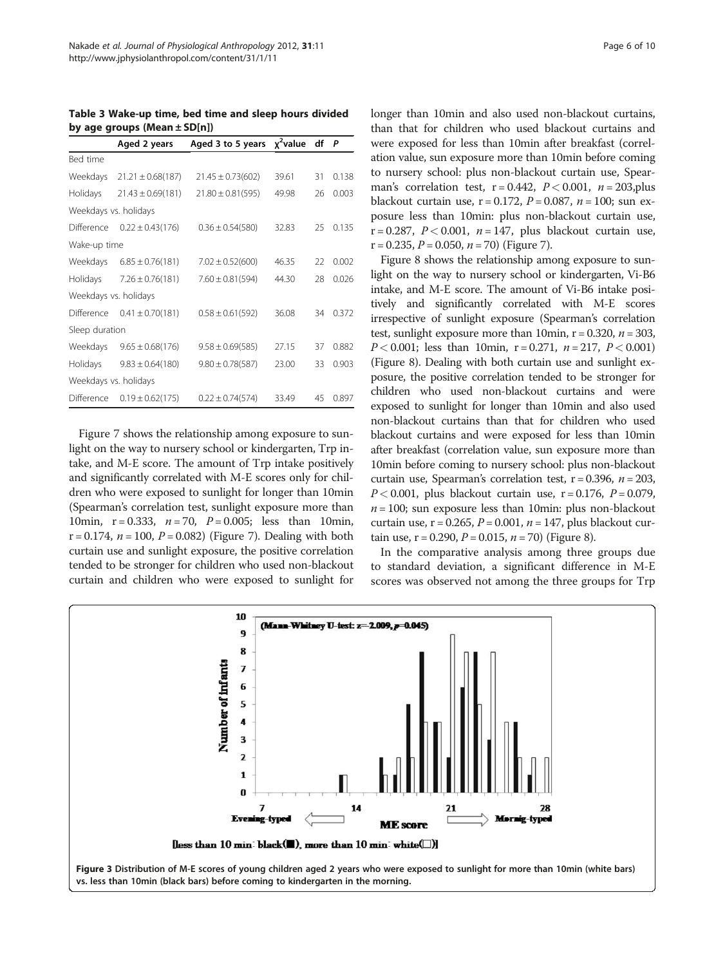<span id="page-5-0"></span>Table 3 Wake-up time, bed time and sleep hours divided by age groups (Mean  $\pm$  SD[n])

|                       | Aged 2 years          | Aged 3 to 5 years $\chi^2$ value df |       |    | P     |  |  |  |
|-----------------------|-----------------------|-------------------------------------|-------|----|-------|--|--|--|
| Bed time              |                       |                                     |       |    |       |  |  |  |
| Weekdays              | $21.21 \pm 0.68(187)$ | $21.45 \pm 0.73(602)$               | 39.61 | 31 | 0.138 |  |  |  |
| Holidays              | $21.43 \pm 0.69(181)$ | $21.80 \pm 0.81(595)$               | 49.98 | 26 | 0.003 |  |  |  |
| Weekdays vs. holidays |                       |                                     |       |    |       |  |  |  |
| Difference            | $0.22 \pm 0.43(176)$  | $0.36 \pm 0.54(580)$                | 32.83 | 25 | 0.135 |  |  |  |
| Wake-up time          |                       |                                     |       |    |       |  |  |  |
| Weekdays              | $6.85 \pm 0.76(181)$  | $7.02 \pm 0.52(600)$                | 46.35 | 22 | 0.002 |  |  |  |
| Holidays              | $7.26 \pm 0.76(181)$  | $7.60 \pm 0.81(594)$                | 44.30 | 28 | 0.026 |  |  |  |
| Weekdays vs. holidays |                       |                                     |       |    |       |  |  |  |
| Difference            | $0.41 \pm 0.70(181)$  | $0.58 \pm 0.61(592)$                | 36.08 | 34 | 0.372 |  |  |  |
| Sleep duration        |                       |                                     |       |    |       |  |  |  |
| Weekdays              | $9.65 \pm 0.68(176)$  | $9.58 \pm 0.69(585)$                | 27.15 | 37 | 0.882 |  |  |  |
| Holidays              | $9.83 \pm 0.64(180)$  | $9.80 \pm 0.78(587)$                | 23.00 | 33 | 0.903 |  |  |  |
| Weekdays vs. holidays |                       |                                     |       |    |       |  |  |  |
| Difference            | $0.19 \pm 0.62(175)$  | $0.22 \pm 0.74(574)$                | 33.49 | 45 | 0.897 |  |  |  |

Figure [7](#page-7-0) shows the relationship among exposure to sunlight on the way to nursery school or kindergarten, Trp intake, and M-E score. The amount of Trp intake positively and significantly correlated with M-E scores only for children who were exposed to sunlight for longer than 10min (Spearman's correlation test, sunlight exposure more than 10min,  $r = 0.333$ ,  $n = 70$ ,  $P = 0.005$ ; less than 10min,  $r = 0.174$ ,  $n = 100$ ,  $P = 0.082$ ) (Figure [7\)](#page-7-0). Dealing with both curtain use and sunlight exposure, the positive correlation tended to be stronger for children who used non-blackout curtain and children who were exposed to sunlight for longer than 10min and also used non-blackout curtains, than that for children who used blackout curtains and were exposed for less than 10min after breakfast (correlation value, sun exposure more than 10min before coming to nursery school: plus non-blackout curtain use, Spearman's correlation test,  $r = 0.442$ ,  $P < 0.001$ ,  $n = 203$ , plus blackout curtain use,  $r = 0.172$ ,  $P = 0.087$ ,  $n = 100$ ; sun exposure less than 10min: plus non-blackout curtain use, r = 0.287,  $P < 0.001$ ,  $n = 147$ , plus blackout curtain use,  $r = 0.235$ ,  $P = 0.050$ ,  $n = 70$ ) (Figure [7\)](#page-7-0).

Figure [8](#page-8-0) shows the relationship among exposure to sunlight on the way to nursery school or kindergarten, Vi-B6 intake, and M-E score. The amount of Vi-B6 intake positively and significantly correlated with M-E scores irrespective of sunlight exposure (Spearman's correlation test, sunlight exposure more than 10min,  $r = 0.320$ ,  $n = 303$ ,  $P < 0.001$ ; less than 10min, r = 0.271, n = 217,  $P < 0.001$ ) (Figure [8\)](#page-8-0). Dealing with both curtain use and sunlight exposure, the positive correlation tended to be stronger for children who used non-blackout curtains and were exposed to sunlight for longer than 10min and also used non-blackout curtains than that for children who used blackout curtains and were exposed for less than 10min after breakfast (correlation value, sun exposure more than 10min before coming to nursery school: plus non-blackout curtain use, Spearman's correlation test,  $r = 0.396$ ,  $n = 203$ ,  $P < 0.001$ , plus blackout curtain use, r = 0.176, P = 0.079,  $n = 100$ ; sun exposure less than 10min: plus non-blackout curtain use,  $r = 0.265$ ,  $P = 0.001$ ,  $n = 147$ , plus blackout curtain use,  $r = 0.290$ ,  $P = 0.015$ ,  $n = 70$ ) (Figure [8\)](#page-8-0).

In the comparative analysis among three groups due to standard deviation, a significant difference in M-E scores was observed not among the three groups for Trp

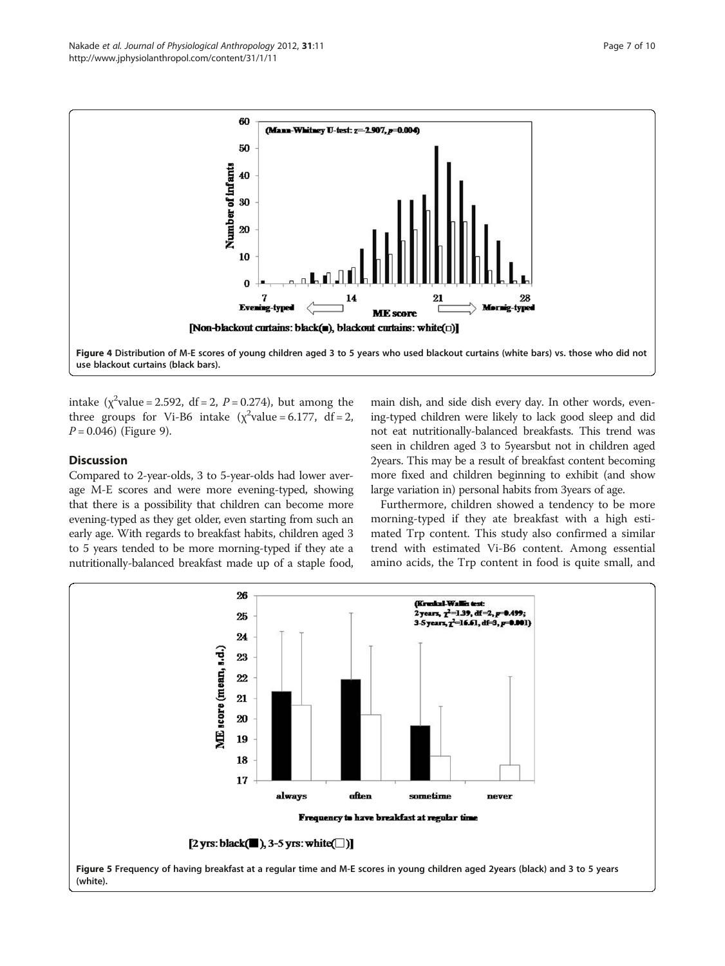<span id="page-6-0"></span>

intake  $(\chi^2$ value = 2.592, df = 2, P = 0.274), but among the three groups for Vi-B6 intake  $(\chi^2$ value = 6.177 df = 2 three groups for Vi-B6 intake ( $\chi^2$ value = 6.177, df = 2,  $P = 0.046$ ) (Figure [9\)](#page-8-0).

#### **Discussion**

Compared to 2-year-olds, 3 to 5-year-olds had lower average M-E scores and were more evening-typed, showing that there is a possibility that children can become more evening-typed as they get older, even starting from such an early age. With regards to breakfast habits, children aged 3 to 5 years tended to be more morning-typed if they ate a nutritionally-balanced breakfast made up of a staple food,

main dish, and side dish every day. In other words, evening-typed children were likely to lack good sleep and did not eat nutritionally-balanced breakfasts. This trend was seen in children aged 3 to 5yearsbut not in children aged 2years. This may be a result of breakfast content becoming more fixed and children beginning to exhibit (and show large variation in) personal habits from 3years of age.

Furthermore, children showed a tendency to be more morning-typed if they ate breakfast with a high estimated Trp content. This study also confirmed a similar trend with estimated Vi-B6 content. Among essential amino acids, the Trp content in food is quite small, and

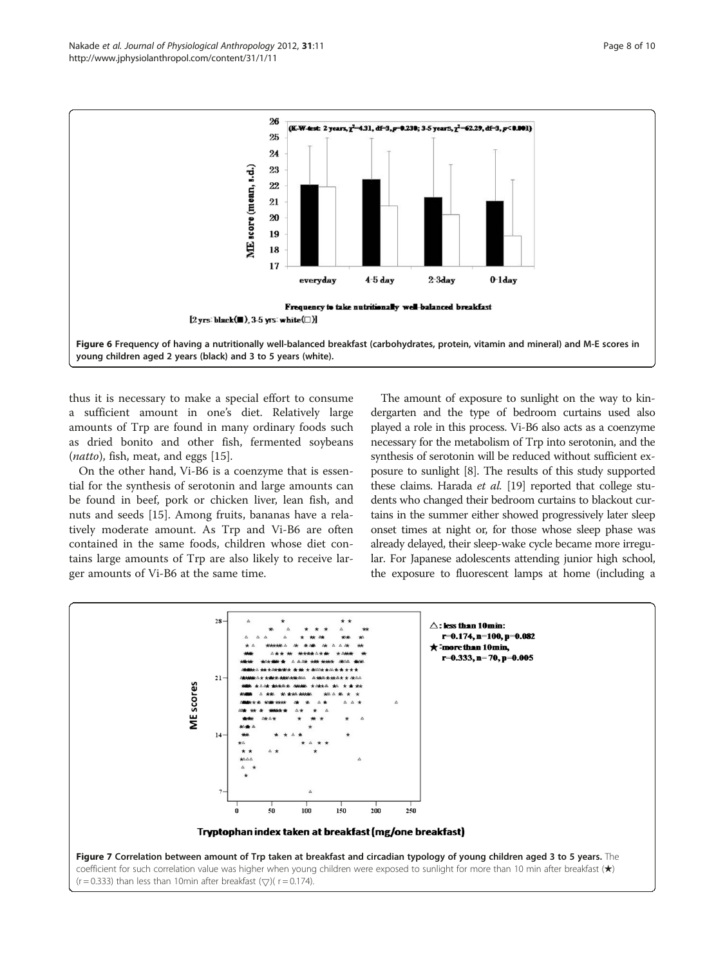<span id="page-7-0"></span>

thus it is necessary to make a special effort to consume a sufficient amount in one's diet. Relatively large amounts of Trp are found in many ordinary foods such as dried bonito and other fish, fermented soybeans (natto), fish, meat, and eggs [\[15\]](#page-9-0).

On the other hand, Vi-B6 is a coenzyme that is essential for the synthesis of serotonin and large amounts can be found in beef, pork or chicken liver, lean fish, and nuts and seeds [[15\]](#page-9-0). Among fruits, bananas have a relatively moderate amount. As Trp and Vi-B6 are often contained in the same foods, children whose diet contains large amounts of Trp are also likely to receive larger amounts of Vi-B6 at the same time.

The amount of exposure to sunlight on the way to kindergarten and the type of bedroom curtains used also played a role in this process. Vi-B6 also acts as a coenzyme necessary for the metabolism of Trp into serotonin, and the synthesis of serotonin will be reduced without sufficient exposure to sunlight [\[8\]](#page-9-0). The results of this study supported these claims. Harada et al. [[19\]](#page-9-0) reported that college students who changed their bedroom curtains to blackout curtains in the summer either showed progressively later sleep onset times at night or, for those whose sleep phase was already delayed, their sleep-wake cycle became more irregular. For Japanese adolescents attending junior high school, the exposure to fluorescent lamps at home (including a

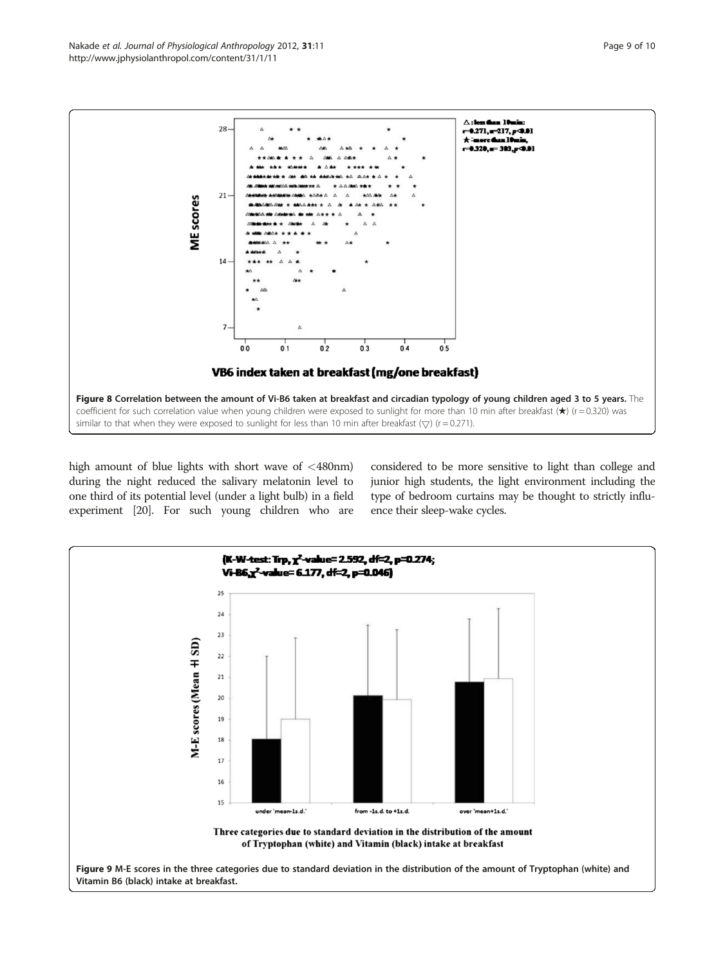<span id="page-8-0"></span>

high amount of blue lights with short wave of <480nm) during the night reduced the salivary melatonin level to one third of its potential level (under a light bulb) in a field experiment [\[20](#page-9-0)]. For such young children who are considered to be more sensitive to light than college and junior high students, the light environment including the type of bedroom curtains may be thought to strictly influence their sleep-wake cycles.